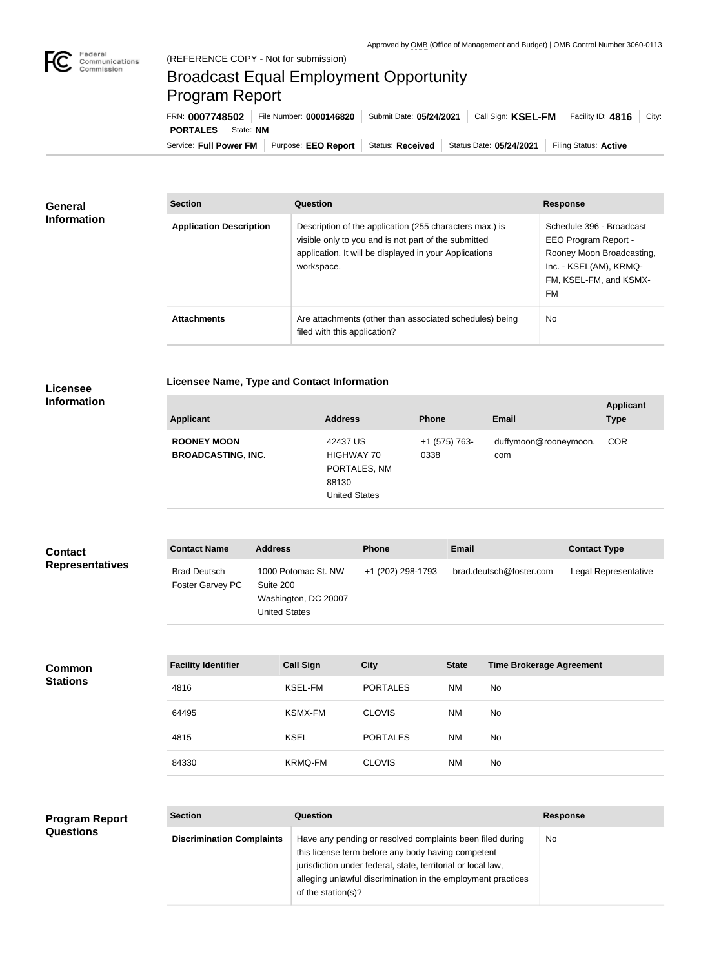

## Broadcast Equal Employment Opportunity Program Report

Service: Full Power FM Purpose: EEO Report | Status: Received | Status Date: 05/24/2021 | Filing Status: Active **PORTALES** State: **NM** FRN: **0007748502** File Number: **0000146820** Submit Date: **05/24/2021** Call Sign: **KSEL-FM** Facility ID: **4816** City:

| <b>General</b><br><b>Information</b> | <b>Section</b>                 | Question                                                                                                                                                                                | <b>Response</b>                                                                                                                         |
|--------------------------------------|--------------------------------|-----------------------------------------------------------------------------------------------------------------------------------------------------------------------------------------|-----------------------------------------------------------------------------------------------------------------------------------------|
|                                      | <b>Application Description</b> | Description of the application (255 characters max.) is<br>visible only to you and is not part of the submitted<br>application. It will be displayed in your Applications<br>workspace. | Schedule 396 - Broadcast<br>EEO Program Report -<br>Rooney Moon Broadcasting,<br>Inc. - KSEL(AM), KRMQ-<br>FM, KSEL-FM, and KSMX-<br>FM |
|                                      | <b>Attachments</b>             | Are attachments (other than associated schedules) being<br>filed with this application?                                                                                                 | <b>No</b>                                                                                                                               |

**Licensee** 

**Licensee Name, Type and Contact Information**

## **Information**

| <b>Applicant</b>                                | <b>Address</b>                                                          | <b>Phone</b>          | <b>Email</b>                 | <b>Applicant</b><br><b>Type</b> |
|-------------------------------------------------|-------------------------------------------------------------------------|-----------------------|------------------------------|---------------------------------|
| <b>ROONEY MOON</b><br><b>BROADCASTING, INC.</b> | 42437 US<br>HIGHWAY 70<br>PORTALES, NM<br>88130<br><b>United States</b> | +1 (575) 763-<br>0338 | duffymoon@rooneymoon.<br>com | <b>COR</b>                      |

| <b>Contact</b>         | <b>Contact Name</b>                     | <b>Address</b>                                                                   | <b>Phone</b>      | <b>Email</b>            | <b>Contact Type</b>  |
|------------------------|-----------------------------------------|----------------------------------------------------------------------------------|-------------------|-------------------------|----------------------|
| <b>Representatives</b> | <b>Brad Deutsch</b><br>Foster Garvey PC | 1000 Potomac St. NW<br>Suite 200<br>Washington, DC 20007<br><b>United States</b> | +1 (202) 298-1793 | brad.deutsch@foster.com | Legal Representative |

| <b>Common</b><br><b>Stations</b> | <b>Facility Identifier</b> | <b>Call Sign</b> | <b>City</b>     | <b>State</b> | <b>Time Brokerage Agreement</b> |
|----------------------------------|----------------------------|------------------|-----------------|--------------|---------------------------------|
|                                  | 4816                       | KSEL-FM          | <b>PORTALES</b> | <b>NM</b>    | No                              |
|                                  | 64495                      | <b>KSMX-FM</b>   | <b>CLOVIS</b>   | <b>NM</b>    | No                              |
|                                  | 4815                       | <b>KSEL</b>      | <b>PORTALES</b> | <b>NM</b>    | No                              |
|                                  | 84330                      | <b>KRMQ-FM</b>   | <b>CLOVIS</b>   | <b>NM</b>    | No                              |

| <b>Program Report</b> | <b>Section</b>                   | <b>Question</b>                                                                                                                                                                                                                                                       | <b>Response</b> |
|-----------------------|----------------------------------|-----------------------------------------------------------------------------------------------------------------------------------------------------------------------------------------------------------------------------------------------------------------------|-----------------|
| <b>Questions</b>      | <b>Discrimination Complaints</b> | Have any pending or resolved complaints been filed during<br>this license term before any body having competent<br>jurisdiction under federal, state, territorial or local law,<br>alleging unlawful discrimination in the employment practices<br>of the station(s)? | No.             |